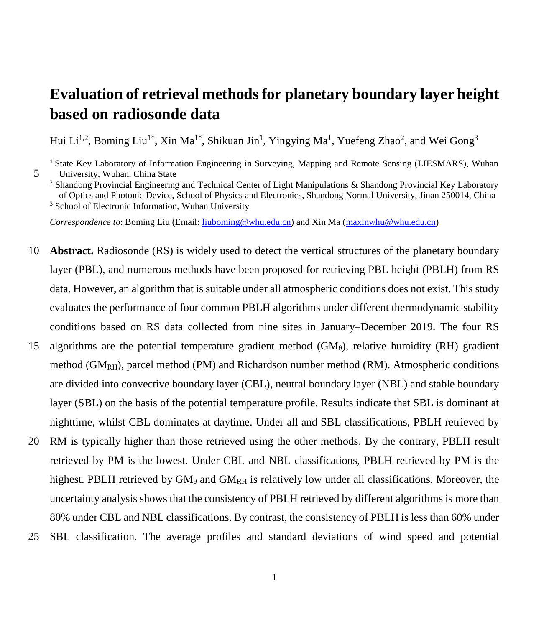# **Evaluation of retrieval methods for planetary boundary layer height based on radiosonde data**

Hui Li<sup>1,2</sup>, Boming Liu<sup>1\*</sup>, Xin Ma<sup>1\*</sup>, Shikuan Jin<sup>1</sup>, Yingying Ma<sup>1</sup>, Yuefeng Zhao<sup>2</sup>, and Wei Gong<sup>3</sup>

<sup>1</sup> State Key Laboratory of Information Engineering in Surveying, Mapping and Remote Sensing (LIESMARS), Wuhan 5 University, Wuhan, China State

<sup>2</sup> Shandong Provincial Engineering and Technical Center of Light Manipulations & Shandong Provincial Key Laboratory of Optics and Photonic Device, School of Physics and Electronics, Shandong Normal University, Jinan 250014, China <sup>3</sup> School of Electronic Information, Wuhan University

*Correspondence to*: Boming Liu (Email: [liuboming@whu.edu.cn\)](mailto:liuboming@whu.edu.cn) and Xin Ma [\(maxinwhu@whu.edu.cn\)](mailto:maxinwhu@whu.edu.cn)

- 10 **Abstract.** Radiosonde (RS) is widely used to detect the vertical structures of the planetary boundary layer (PBL), and numerous methods have been proposed for retrieving PBL height (PBLH) from RS data. However, an algorithm that is suitable under all atmospheric conditions does not exist. This study evaluates the performance of four common PBLH algorithms under different thermodynamic stability conditions based on RS data collected from nine sites in January–December 2019. The four RS 15 algorithms are the potential temperature gradient method  $(GM_\theta)$ , relative humidity (RH) gradient method  $(GM_{RH})$ , parcel method (PM) and Richardson number method (RM). Atmospheric conditions are divided into convective boundary layer (CBL), neutral boundary layer (NBL) and stable boundary layer (SBL) on the basis of the potential temperature profile. Results indicate that SBL is dominant at nighttime, whilst CBL dominates at daytime. Under all and SBL classifications, PBLH retrieved by 20 RM is typically higher than those retrieved using the other methods. By the contrary, PBLH result
- retrieved by PM is the lowest. Under CBL and NBL classifications, PBLH retrieved by PM is the highest. PBLH retrieved by  $GM_\theta$  and  $GM_{RH}$  is relatively low under all classifications. Moreover, the uncertainty analysis shows that the consistency of PBLH retrieved by different algorithms is more than 80% under CBL and NBL classifications. By contrast, the consistency of PBLH is less than 60% under 25 SBL classification. The average profiles and standard deviations of wind speed and potential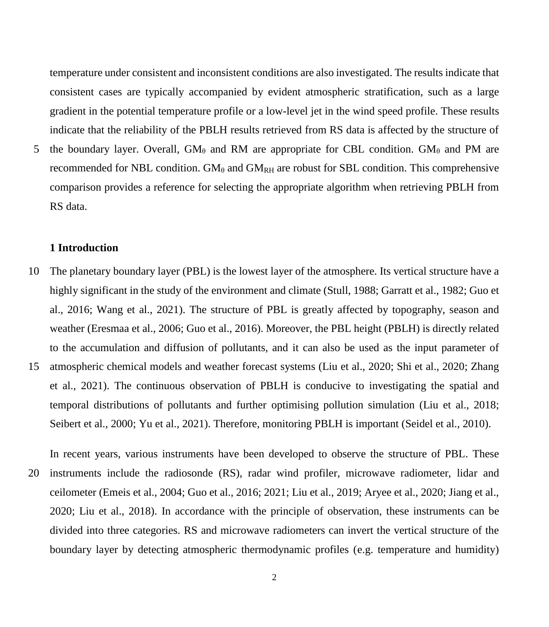temperature under consistent and inconsistent conditions are also investigated. The results indicate that consistent cases are typically accompanied by evident atmospheric stratification, such as a large gradient in the potential temperature profile or a low-level jet in the wind speed profile. These results indicate that the reliability of the PBLH results retrieved from RS data is affected by the structure of

5 the boundary layer. Overall,  $GM_\theta$  and RM are appropriate for CBL condition.  $GM_\theta$  and PM are recommended for NBL condition. GM $_{\theta}$  and GM<sub>RH</sub> are robust for SBL condition. This comprehensive comparison provides a reference for selecting the appropriate algorithm when retrieving PBLH from RS data.

#### **1 Introduction**

- 10 The planetary boundary layer (PBL) is the lowest layer of the atmosphere. Its vertical structure have a highly significant in the study of the environment and climate (Stull, 1988; Garratt et al., 1982; Guo et al., 2016; Wang et al., 2021). The structure of PBL is greatly affected by topography, season and weather (Eresmaa et al., 2006; Guo et al., 2016). Moreover, the PBL height (PBLH) is directly related to the accumulation and diffusion of pollutants, and it can also be used as the input parameter of 15 atmospheric chemical models and weather forecast systems (Liu et al., 2020; Shi et al., 2020; Zhang et al., 2021). The continuous observation of PBLH is conducive to investigating the spatial and temporal distributions of pollutants and further optimising pollution simulation (Liu et al., 2018; Seibert et al., 2000; Yu et al., 2021). Therefore, monitoring PBLH is important (Seidel et al., 2010).
- In recent years, various instruments have been developed to observe the structure of PBL. These 20 instruments include the radiosonde (RS), radar wind profiler, microwave radiometer, lidar and ceilometer (Emeis et al., 2004; Guo et al., 2016; 2021; Liu et al., 2019; Aryee et al., 2020; Jiang et al., 2020; Liu et al., 2018). In accordance with the principle of observation, these instruments can be divided into three categories. RS and microwave radiometers can invert the vertical structure of the boundary layer by detecting atmospheric thermodynamic profiles (e.g. temperature and humidity)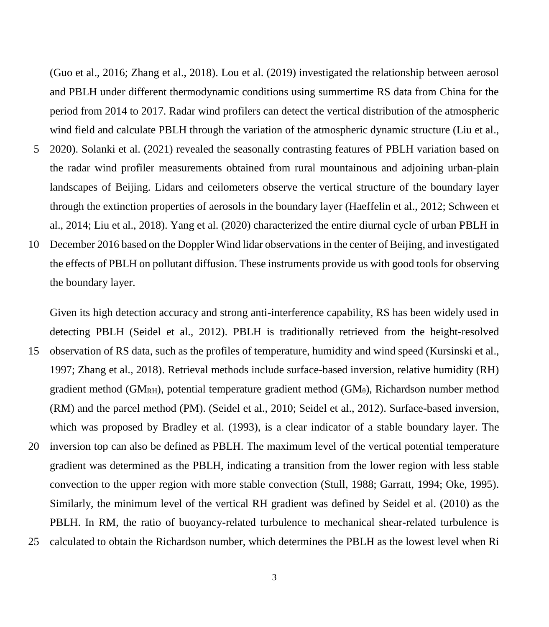(Guo et al., 2016; Zhang et al., 2018). Lou et al. (2019) investigated the relationship between aerosol and PBLH under different thermodynamic conditions using summertime RS data from China for the period from 2014 to 2017. Radar wind profilers can detect the vertical distribution of the atmospheric wind field and calculate PBLH through the variation of the atmospheric dynamic structure (Liu et al.,

- 5 2020). Solanki et al. (2021) revealed the seasonally contrasting features of PBLH variation based on the radar wind profiler measurements obtained from rural mountainous and adjoining urban-plain landscapes of Beijing. Lidars and ceilometers observe the vertical structure of the boundary layer through the extinction properties of aerosols in the boundary layer (Haeffelin et al., 2012; Schween et al., 2014; Liu et al., 2018). Yang et al. (2020) characterized the entire diurnal cycle of urban PBLH in
- 10 December 2016 based on the Doppler Wind lidar observations in the center of Beijing, and investigated the effects of PBLH on pollutant diffusion. These instruments provide us with good tools for observing the boundary layer.

Given its high detection accuracy and strong anti-interference capability, RS has been widely used in detecting PBLH (Seidel et al., 2012). PBLH is traditionally retrieved from the height-resolved

15 observation of RS data, such as the profiles of temperature, humidity and wind speed (Kursinski et al., 1997; Zhang et al., 2018). Retrieval methods include surface-based inversion, relative humidity (RH) gradient method ( $GM<sub>RH</sub>$ ), potential temperature gradient method ( $GM<sub>θ</sub>$ ), Richardson number method (RM) and the parcel method (PM). (Seidel et al., 2010; Seidel et al., 2012). Surface-based inversion, which was proposed by Bradley et al. (1993), is a clear indicator of a stable boundary layer. The 20 inversion top can also be defined as PBLH. The maximum level of the vertical potential temperature gradient was determined as the PBLH, indicating a transition from the lower region with less stable convection to the upper region with more stable convection (Stull, 1988; Garratt, 1994; Oke, 1995). Similarly, the minimum level of the vertical RH gradient was defined by Seidel et al. (2010) as the PBLH. In RM, the ratio of buoyancy-related turbulence to mechanical shear-related turbulence is 25 calculated to obtain the Richardson number, which determines the PBLH as the lowest level when Ri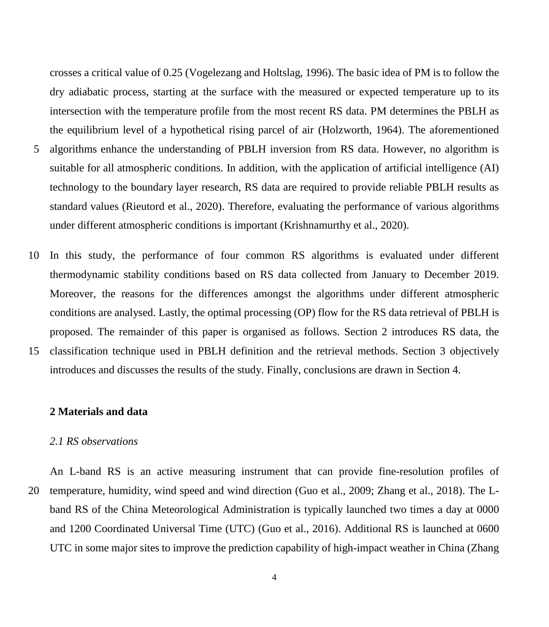crosses a critical value of 0.25 (Vogelezang and Holtslag, 1996). The basic idea of PM is to follow the dry adiabatic process, starting at the surface with the measured or expected temperature up to its intersection with the temperature profile from the most recent RS data. PM determines the PBLH as the equilibrium level of a hypothetical rising parcel of air (Holzworth, 1964). The aforementioned 5 algorithms enhance the understanding of PBLH inversion from RS data. However, no algorithm is suitable for all atmospheric conditions. In addition, with the application of artificial intelligence (AI) technology to the boundary layer research, RS data are required to provide reliable PBLH results as standard values (Rieutord et al., 2020). Therefore, evaluating the performance of various algorithms under different atmospheric conditions is important (Krishnamurthy et al., 2020).

10 In this study, the performance of four common RS algorithms is evaluated under different thermodynamic stability conditions based on RS data collected from January to December 2019. Moreover, the reasons for the differences amongst the algorithms under different atmospheric conditions are analysed. Lastly, the optimal processing (OP) flow for the RS data retrieval of PBLH is proposed. The remainder of this paper is organised as follows. Section 2 introduces RS data, the 15 classification technique used in PBLH definition and the retrieval methods. Section 3 objectively

introduces and discusses the results of the study. Finally, conclusions are drawn in Section 4.

### **2 Materials and data**

#### *2.1 RS observations*

An L-band RS is an active measuring instrument that can provide fine-resolution profiles of 20 temperature, humidity, wind speed and wind direction (Guo et al., 2009; Zhang et al., 2018). The Lband RS of the China Meteorological Administration is typically launched two times a day at 0000 and 1200 Coordinated Universal Time (UTC) (Guo et al., 2016). Additional RS is launched at 0600 UTC in some major sites to improve the prediction capability of high-impact weather in China (Zhang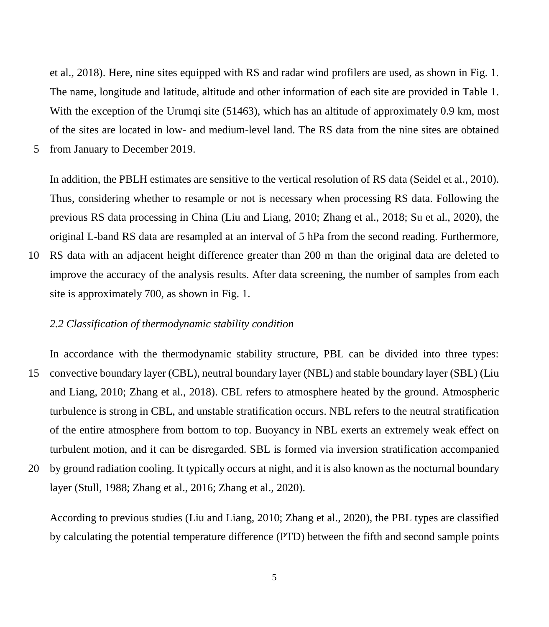et al., 2018). Here, nine sites equipped with RS and radar wind profilers are used, as shown in Fig. 1. The name, longitude and latitude, altitude and other information of each site are provided in Table 1. With the exception of the Urumqi site (51463), which has an altitude of approximately 0.9 km, most of the sites are located in low- and medium-level land. The RS data from the nine sites are obtained

5 from January to December 2019.

In addition, the PBLH estimates are sensitive to the vertical resolution of RS data (Seidel et al., 2010). Thus, considering whether to resample or not is necessary when processing RS data. Following the previous RS data processing in China (Liu and Liang, 2010; Zhang et al., 2018; Su et al., 2020), the original L-band RS data are resampled at an interval of 5 hPa from the second reading. Furthermore,

10 RS data with an adjacent height difference greater than 200 m than the original data are deleted to improve the accuracy of the analysis results. After data screening, the number of samples from each site is approximately 700, as shown in Fig. 1.

## *2.2 Classification of thermodynamic stability condition*

In accordance with the thermodynamic stability structure, PBL can be divided into three types: 15 convective boundary layer (CBL), neutral boundary layer (NBL) and stable boundary layer (SBL) (Liu and Liang, 2010; Zhang et al., 2018). CBL refers to atmosphere heated by the ground. Atmospheric turbulence is strong in CBL, and unstable stratification occurs. NBL refers to the neutral stratification of the entire atmosphere from bottom to top. Buoyancy in NBL exerts an extremely weak effect on turbulent motion, and it can be disregarded. SBL is formed via inversion stratification accompanied 20 by ground radiation cooling. It typically occurs at night, and it is also known as the nocturnal boundary

layer (Stull, 1988; Zhang et al., 2016; Zhang et al., 2020).

According to previous studies (Liu and Liang, 2010; Zhang et al., 2020), the PBL types are classified by calculating the potential temperature difference (PTD) between the fifth and second sample points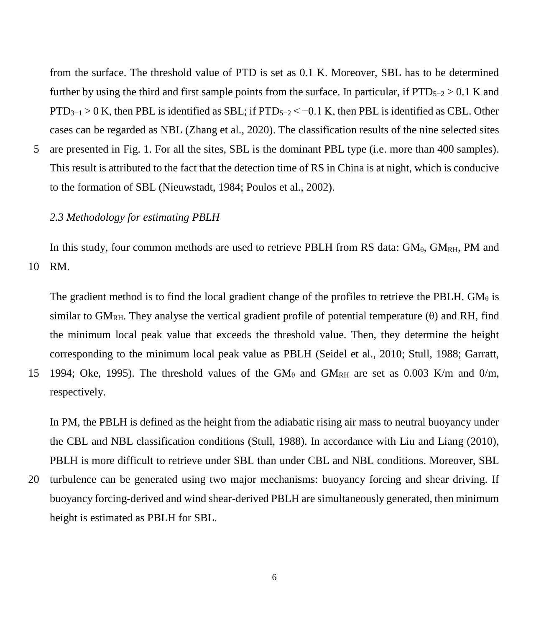from the surface. The threshold value of PTD is set as 0.1 K. Moreover, SBL has to be determined further by using the third and first sample points from the surface. In particular, if  $PTD_{5-2} > 0.1$  K and  $PTD_{3-1} > 0$  K, then PBL is identified as SBL; if PTD<sub>5−2</sub> < −0.1 K, then PBL is identified as CBL. Other cases can be regarded as NBL (Zhang et al., 2020). The classification results of the nine selected sites

5 are presented in Fig. 1. For all the sites, SBL is the dominant PBL type (i.e. more than 400 samples). This result is attributed to the fact that the detection time of RS in China is at night, which is conducive to the formation of SBL (Nieuwstadt, 1984; Poulos et al., 2002).

## *2.3 Methodology for estimating PBLH*

In this study, four common methods are used to retrieve PBLH from RS data:  $GM_{\theta}$ ,  $GM_{RH}$ , PM and 10 RM.

The gradient method is to find the local gradient change of the profiles to retrieve the PBLH. GM $_{\theta}$  is similar to  $GM_{RH}$ . They analyse the vertical gradient profile of potential temperature (θ) and RH, find the minimum local peak value that exceeds the threshold value. Then, they determine the height corresponding to the minimum local peak value as PBLH (Seidel et al., 2010; Stull, 1988; Garratt, 15 1994; Oke, 1995). The threshold values of the  $GM_{\theta}$  and  $GM_{RH}$  are set as 0.003 K/m and 0/m, respectively.

In PM, the PBLH is defined as the height from the adiabatic rising air mass to neutral buoyancy under the CBL and NBL classification conditions (Stull, 1988). In accordance with Liu and Liang (2010), PBLH is more difficult to retrieve under SBL than under CBL and NBL conditions. Moreover, SBL

20 turbulence can be generated using two major mechanisms: buoyancy forcing and shear driving. If buoyancy forcing-derived and wind shear-derived PBLH are simultaneously generated, then minimum height is estimated as PBLH for SBL.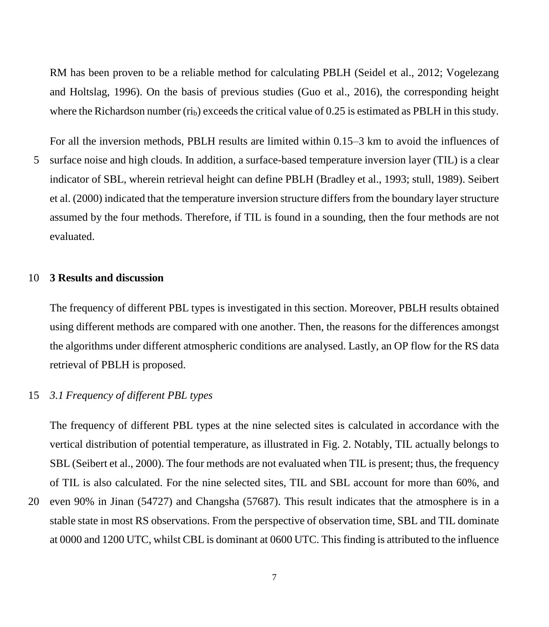RM has been proven to be a reliable method for calculating PBLH (Seidel et al., 2012; Vogelezang and Holtslag, 1996). On the basis of previous studies (Guo et al., 2016), the corresponding height where the Richardson number ( $\dot{r}$ <sub>l</sub>) exceeds the critical value of 0.25 is estimated as PBLH in this study.

For all the inversion methods, PBLH results are limited within 0.15–3 km to avoid the influences of 5 surface noise and high clouds. In addition, a surface-based temperature inversion layer (TIL) is a clear indicator of SBL, wherein retrieval height can define PBLH (Bradley et al., 1993; stull, 1989). Seibert et al. (2000) indicated that the temperature inversion structure differs from the boundary layer structure assumed by the four methods. Therefore, if TIL is found in a sounding, then the four methods are not evaluated.

### 10 **3 Results and discussion**

The frequency of different PBL types is investigated in this section. Moreover, PBLH results obtained using different methods are compared with one another. Then, the reasons for the differences amongst the algorithms under different atmospheric conditions are analysed. Lastly, an OP flow for the RS data retrieval of PBLH is proposed.

## 15 *3.1 Frequency of different PBL types*

The frequency of different PBL types at the nine selected sites is calculated in accordance with the vertical distribution of potential temperature, as illustrated in Fig. 2. Notably, TIL actually belongs to SBL (Seibert et al., 2000). The four methods are not evaluated when TIL is present; thus, the frequency of TIL is also calculated. For the nine selected sites, TIL and SBL account for more than 60%, and

20 even 90% in Jinan (54727) and Changsha (57687). This result indicates that the atmosphere is in a stable state in most RS observations. From the perspective of observation time, SBL and TIL dominate at 0000 and 1200 UTC, whilst CBL is dominant at 0600 UTC. This finding is attributed to the influence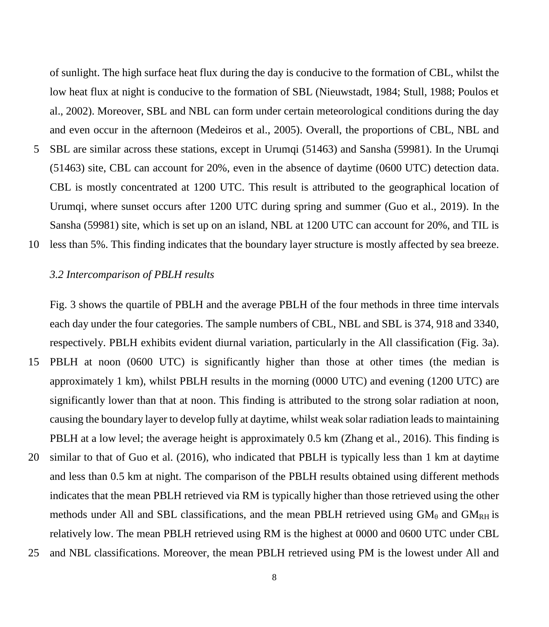of sunlight. The high surface heat flux during the day is conducive to the formation of CBL, whilst the low heat flux at night is conducive to the formation of SBL (Nieuwstadt, 1984; Stull, 1988; Poulos et al., 2002). Moreover, SBL and NBL can form under certain meteorological conditions during the day and even occur in the afternoon (Medeiros et al., 2005). Overall, the proportions of CBL, NBL and 5 SBL are similar across these stations, except in Urumqi (51463) and Sansha (59981). In the Urumqi (51463) site, CBL can account for 20%, even in the absence of daytime (0600 UTC) detection data. CBL is mostly concentrated at 1200 UTC. This result is attributed to the geographical location of Urumqi, where sunset occurs after 1200 UTC during spring and summer (Guo et al., 2019). In the Sansha (59981) site, which is set up on an island, NBL at 1200 UTC can account for 20%, and TIL is

10 less than 5%. This finding indicates that the boundary layer structure is mostly affected by sea breeze.

### *3.2 Intercomparison of PBLH results*

Fig. 3 shows the quartile of PBLH and the average PBLH of the four methods in three time intervals each day under the four categories. The sample numbers of CBL, NBL and SBL is 374, 918 and 3340, respectively. PBLH exhibits evident diurnal variation, particularly in the All classification (Fig. 3a). 15 PBLH at noon (0600 UTC) is significantly higher than those at other times (the median is approximately 1 km), whilst PBLH results in the morning (0000 UTC) and evening (1200 UTC) are significantly lower than that at noon. This finding is attributed to the strong solar radiation at noon, causing the boundary layer to develop fully at daytime, whilst weak solar radiation leads to maintaining PBLH at a low level; the average height is approximately 0.5 km (Zhang et al., 2016). This finding is 20 similar to that of Guo et al. (2016), who indicated that PBLH is typically less than 1 km at daytime and less than 0.5 km at night. The comparison of the PBLH results obtained using different methods indicates that the mean PBLH retrieved via RM is typically higher than those retrieved using the other methods under All and SBL classifications, and the mean PBLH retrieved using  $GM_{\theta}$  and  $GM_{RH}$  is

relatively low. The mean PBLH retrieved using RM is the highest at 0000 and 0600 UTC under CBL 25 and NBL classifications. Moreover, the mean PBLH retrieved using PM is the lowest under All and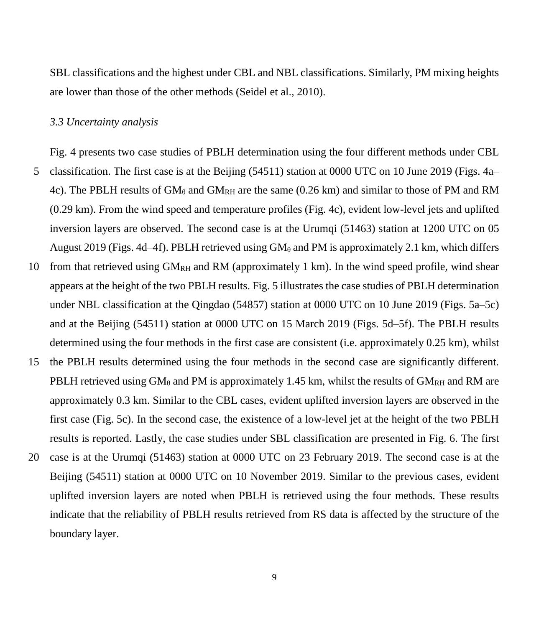SBL classifications and the highest under CBL and NBL classifications. Similarly, PM mixing heights are lower than those of the other methods (Seidel et al., 2010).

#### *3.3 Uncertainty analysis*

Fig. 4 presents two case studies of PBLH determination using the four different methods under CBL 5 classification. The first case is at the Beijing (54511) station at 0000 UTC on 10 June 2019 (Figs. 4a– 4c). The PBLH results of  $GM_\theta$  and  $GM_{RH}$  are the same (0.26 km) and similar to those of PM and RM (0.29 km). From the wind speed and temperature profiles (Fig. 4c), evident low-level jets and uplifted inversion layers are observed. The second case is at the Urumqi (51463) station at 1200 UTC on 05 August 2019 (Figs. 4d–4f). PBLH retrieved using  $GM_\theta$  and PM is approximately 2.1 km, which differs 10 from that retrieved using  $GM<sub>RH</sub>$  and RM (approximately 1 km). In the wind speed profile, wind shear appears at the height of the two PBLH results. Fig. 5 illustrates the case studies of PBLH determination under NBL classification at the Qingdao (54857) station at 0000 UTC on 10 June 2019 (Figs. 5a–5c) and at the Beijing (54511) station at 0000 UTC on 15 March 2019 (Figs. 5d–5f). The PBLH results determined using the four methods in the first case are consistent (i.e. approximately 0.25 km), whilst 15 the PBLH results determined using the four methods in the second case are significantly different. PBLH retrieved using  $GM_\theta$  and PM is approximately 1.45 km, whilst the results of  $GM_{RH}$  and RM are approximately 0.3 km. Similar to the CBL cases, evident uplifted inversion layers are observed in the first case (Fig. 5c). In the second case, the existence of a low-level jet at the height of the two PBLH results is reported. Lastly, the case studies under SBL classification are presented in Fig. 6. The first

20 case is at the Urumqi (51463) station at 0000 UTC on 23 February 2019. The second case is at the Beijing (54511) station at 0000 UTC on 10 November 2019. Similar to the previous cases, evident uplifted inversion layers are noted when PBLH is retrieved using the four methods. These results indicate that the reliability of PBLH results retrieved from RS data is affected by the structure of the boundary layer.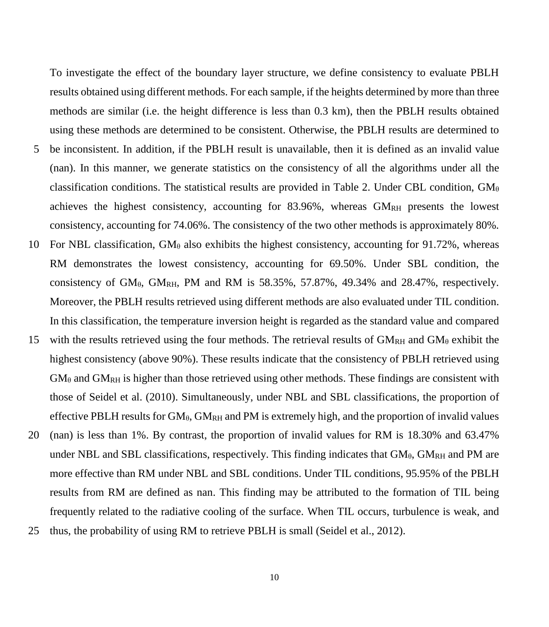To investigate the effect of the boundary layer structure, we define consistency to evaluate PBLH results obtained using different methods. For each sample, if the heights determined by more than three methods are similar (i.e. the height difference is less than 0.3 km), then the PBLH results obtained using these methods are determined to be consistent. Otherwise, the PBLH results are determined to 5 be inconsistent. In addition, if the PBLH result is unavailable, then it is defined as an invalid value (nan). In this manner, we generate statistics on the consistency of all the algorithms under all the classification conditions. The statistical results are provided in Table 2. Under CBL condition,  $GM_{\theta}$ achieves the highest consistency, accounting for 83.96%, whereas GMRH presents the lowest consistency, accounting for 74.06%. The consistency of the two other methods is approximately 80%. 10 For NBL classification,  $GM_\theta$  also exhibits the highest consistency, accounting for 91.72%, whereas RM demonstrates the lowest consistency, accounting for 69.50%. Under SBL condition, the consistency of  $GM_{\theta}$ ,  $GM_{RH}$ , PM and RM is 58.35%, 57.87%, 49.34% and 28.47%, respectively. Moreover, the PBLH results retrieved using different methods are also evaluated under TIL condition. In this classification, the temperature inversion height is regarded as the standard value and compared 15 with the results retrieved using the four methods. The retrieval results of  $GM<sub>RH</sub>$  and  $GM<sub>\theta</sub>$  exhibit the highest consistency (above 90%). These results indicate that the consistency of PBLH retrieved using  $GM_{\theta}$  and  $GM_{RH}$  is higher than those retrieved using other methods. These findings are consistent with those of Seidel et al. (2010). Simultaneously, under NBL and SBL classifications, the proportion of effective PBLH results for  $GM_{\theta}$ ,  $GM_{RH}$  and PM is extremely high, and the proportion of invalid values 20 (nan) is less than 1%. By contrast, the proportion of invalid values for RM is 18.30% and 63.47% under NBL and SBL classifications, respectively. This finding indicates that  $GM_{\theta}$ ,  $GM_{RH}$  and PM are more effective than RM under NBL and SBL conditions. Under TIL conditions, 95.95% of the PBLH results from RM are defined as nan. This finding may be attributed to the formation of TIL being frequently related to the radiative cooling of the surface. When TIL occurs, turbulence is weak, and

25 thus, the probability of using RM to retrieve PBLH is small (Seidel et al., 2012).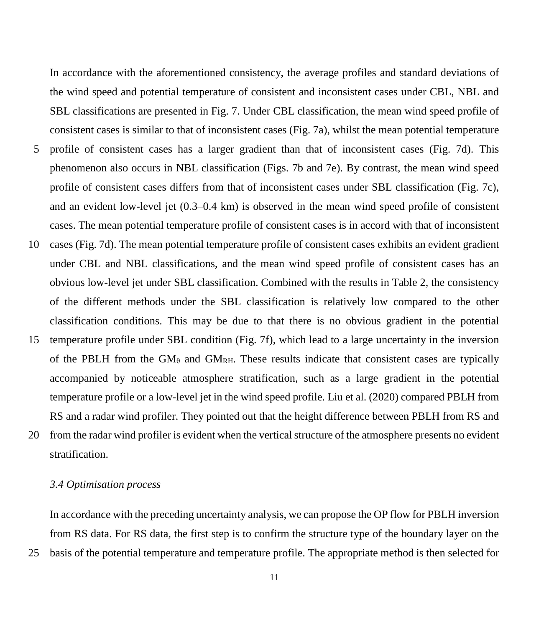In accordance with the aforementioned consistency, the average profiles and standard deviations of the wind speed and potential temperature of consistent and inconsistent cases under CBL, NBL and SBL classifications are presented in Fig. 7. Under CBL classification, the mean wind speed profile of consistent cases is similar to that of inconsistent cases (Fig. 7a), whilst the mean potential temperature 5 profile of consistent cases has a larger gradient than that of inconsistent cases (Fig. 7d). This phenomenon also occurs in NBL classification (Figs. 7b and 7e). By contrast, the mean wind speed profile of consistent cases differs from that of inconsistent cases under SBL classification (Fig. 7c), and an evident low-level jet (0.3–0.4 km) is observed in the mean wind speed profile of consistent cases. The mean potential temperature profile of consistent cases is in accord with that of inconsistent 10 cases (Fig. 7d). The mean potential temperature profile of consistent cases exhibits an evident gradient under CBL and NBL classifications, and the mean wind speed profile of consistent cases has an obvious low-level jet under SBL classification. Combined with the results in Table 2, the consistency of the different methods under the SBL classification is relatively low compared to the other classification conditions. This may be due to that there is no obvious gradient in the potential 15 temperature profile under SBL condition (Fig. 7f), which lead to a large uncertainty in the inversion of the PBLH from the  $GM_{\theta}$  and  $GM_{RH}$ . These results indicate that consistent cases are typically accompanied by noticeable atmosphere stratification, such as a large gradient in the potential temperature profile or a low-level jet in the wind speed profile. Liu et al. (2020) compared PBLH from RS and a radar wind profiler. They pointed out that the height difference between PBLH from RS and 20 from the radar wind profiler is evident when the vertical structure of the atmosphere presents no evident stratification.

#### *3.4 Optimisation process*

In accordance with the preceding uncertainty analysis, we can propose the OP flow for PBLH inversion from RS data. For RS data, the first step is to confirm the structure type of the boundary layer on the 25 basis of the potential temperature and temperature profile. The appropriate method is then selected for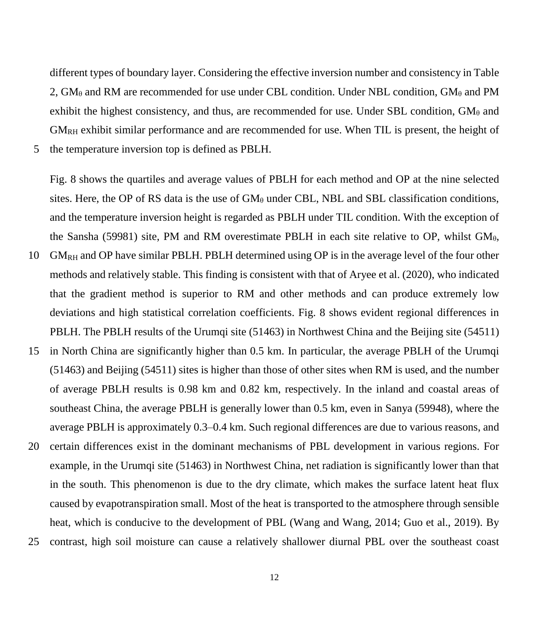different types of boundary layer. Considering the effective inversion number and consistency in Table 2,  $GM_\theta$  and RM are recommended for use under CBL condition. Under NBL condition,  $GM_\theta$  and PM exhibit the highest consistency, and thus, are recommended for use. Under SBL condition,  $GM_\theta$  and GMRH exhibit similar performance and are recommended for use. When TIL is present, the height of

5 the temperature inversion top is defined as PBLH.

Fig. 8 shows the quartiles and average values of PBLH for each method and OP at the nine selected sites. Here, the OP of RS data is the use of  $GM_\theta$  under CBL, NBL and SBL classification conditions, and the temperature inversion height is regarded as PBLH under TIL condition. With the exception of the Sansha (59981) site, PM and RM overestimate PBLH in each site relative to OP, whilst  $GM_{\theta}$ ,

- 10 GMRH and OP have similar PBLH. PBLH determined using OP is in the average level of the four other methods and relatively stable. This finding is consistent with that of Aryee et al. (2020), who indicated that the gradient method is superior to RM and other methods and can produce extremely low deviations and high statistical correlation coefficients. Fig. 8 shows evident regional differences in PBLH. The PBLH results of the Urumqi site (51463) in Northwest China and the Beijing site (54511)
- 15 in North China are significantly higher than 0.5 km. In particular, the average PBLH of the Urumqi (51463) and Beijing (54511) sites is higher than those of other sites when RM is used, and the number of average PBLH results is 0.98 km and 0.82 km, respectively. In the inland and coastal areas of southeast China, the average PBLH is generally lower than 0.5 km, even in Sanya (59948), where the average PBLH is approximately 0.3–0.4 km. Such regional differences are due to various reasons, and
- 20 certain differences exist in the dominant mechanisms of PBL development in various regions. For example, in the Urumqi site (51463) in Northwest China, net radiation is significantly lower than that in the south. This phenomenon is due to the dry climate, which makes the surface latent heat flux caused by evapotranspiration small. Most of the heat is transported to the atmosphere through sensible heat, which is conducive to the development of PBL (Wang and Wang, 2014; Guo et al., 2019). By
- 25 contrast, high soil moisture can cause a relatively shallower diurnal PBL over the southeast coast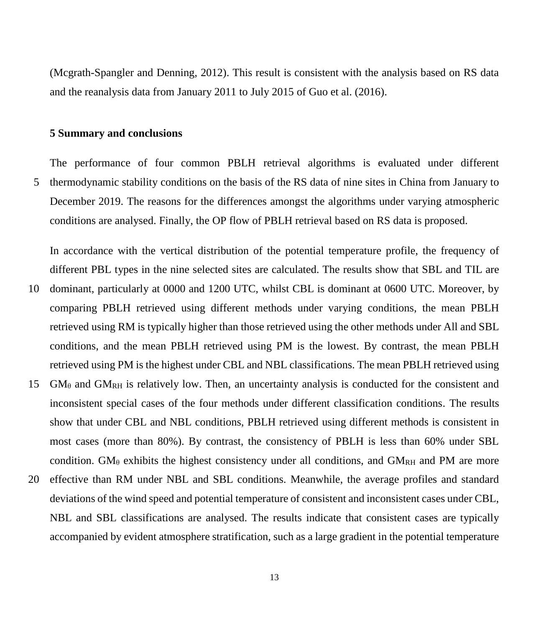(Mcgrath-Spangler and Denning, 2012). This result is consistent with the analysis based on RS data and the reanalysis data from January 2011 to July 2015 of Guo et al. (2016).

#### **5 Summary and conclusions**

The performance of four common PBLH retrieval algorithms is evaluated under different 5 thermodynamic stability conditions on the basis of the RS data of nine sites in China from January to December 2019. The reasons for the differences amongst the algorithms under varying atmospheric conditions are analysed. Finally, the OP flow of PBLH retrieval based on RS data is proposed.

In accordance with the vertical distribution of the potential temperature profile, the frequency of different PBL types in the nine selected sites are calculated. The results show that SBL and TIL are

- 10 dominant, particularly at 0000 and 1200 UTC, whilst CBL is dominant at 0600 UTC. Moreover, by comparing PBLH retrieved using different methods under varying conditions, the mean PBLH retrieved using RM is typically higher than those retrieved using the other methods under All and SBL conditions, and the mean PBLH retrieved using PM is the lowest. By contrast, the mean PBLH retrieved using PM is the highest under CBL and NBL classifications. The mean PBLH retrieved using
- 15  $GM_\theta$  and  $GM_{RH}$  is relatively low. Then, an uncertainty analysis is conducted for the consistent and inconsistent special cases of the four methods under different classification conditions. The results show that under CBL and NBL conditions, PBLH retrieved using different methods is consistent in most cases (more than 80%). By contrast, the consistency of PBLH is less than 60% under SBL condition. GM $_{\theta}$  exhibits the highest consistency under all conditions, and GM<sub>RH</sub> and PM are more 20 effective than RM under NBL and SBL conditions. Meanwhile, the average profiles and standard deviations of the wind speed and potential temperature of consistent and inconsistent cases under CBL, NBL and SBL classifications are analysed. The results indicate that consistent cases are typically

accompanied by evident atmosphere stratification, such as a large gradient in the potential temperature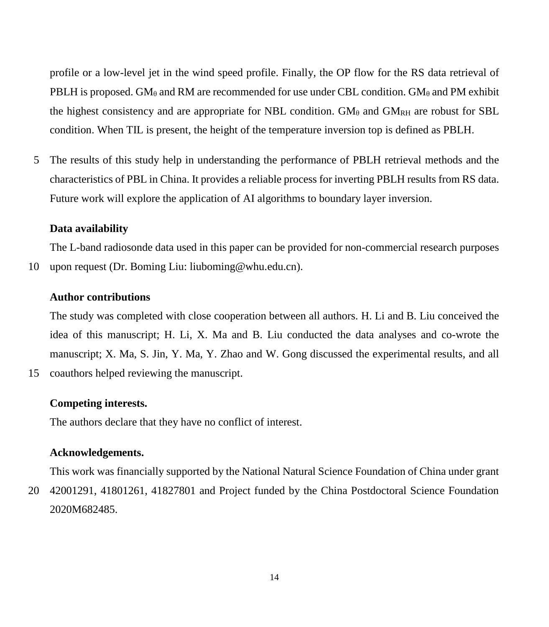profile or a low-level jet in the wind speed profile. Finally, the OP flow for the RS data retrieval of PBLH is proposed. GM<sub>θ</sub> and RM are recommended for use under CBL condition. GM<sub>θ</sub> and PM exhibit the highest consistency and are appropriate for NBL condition.  $GM_\theta$  and  $GM_{RH}$  are robust for SBL condition. When TIL is present, the height of the temperature inversion top is defined as PBLH.

5 The results of this study help in understanding the performance of PBLH retrieval methods and the characteristics of PBL in China. It provides a reliable process for inverting PBLH results from RS data. Future work will explore the application of AI algorithms to boundary layer inversion.

#### **Data availability**

The L-band radiosonde data used in this paper can be provided for non-commercial research purposes 10 upon request (Dr. Boming Liu: liuboming@whu.edu.cn).

#### **Author contributions**

The study was completed with close cooperation between all authors. H. Li and B. Liu conceived the idea of this manuscript; H. Li, X. Ma and B. Liu conducted the data analyses and co-wrote the manuscript; X. Ma, S. Jin, Y. Ma, Y. Zhao and W. Gong discussed the experimental results, and all 15 coauthors helped reviewing the manuscript.

#### **Competing interests.**

The authors declare that they have no conflict of interest.

#### **Acknowledgements.**

This work was financially supported by the National Natural Science Foundation of China under grant 20 42001291, 41801261, 41827801 and Project funded by the China Postdoctoral Science Foundation 2020M682485.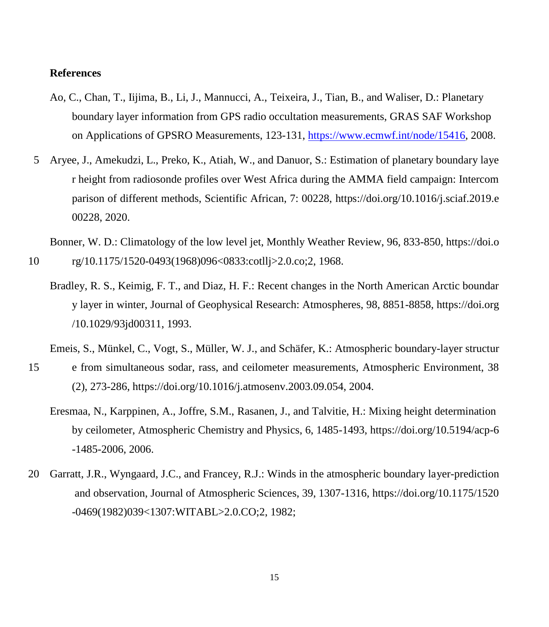### **References**

- Ao, C., Chan, T., Iijima, B., Li, J., Mannucci, A., Teixeira, J., Tian, B., and Waliser, D.: Planetary boundary layer information from GPS radio occultation measurements, GRAS SAF Workshop on Applications of GPSRO Measurements, 123-131, [https://www.ecmwf.int/node/15416,](https://www.ecmwf.int/node/15416) 2008.
- 5 Aryee, J., Amekudzi, L., Preko, K., Atiah, W., and Danuor, S.: Estimation of planetary boundary laye r height from radiosonde profiles over West Africa during the AMMA field campaign: Intercom parison of different methods, Scientific African, 7: 00228, https://doi.org/10.1016/j.sciaf.2019.e 00228, 2020.

Bonner, W. D.: Climatology of the low level jet, Monthly Weather Review, 96, 833-850, https://doi.o

- 10 rg/10.1175/1520-0493(1968)096<0833:cotllj>2.0.co;2, 1968.
	- Bradley, R. S., Keimig, F. T., and Diaz, H. F.: Recent changes in the North American Arctic boundar y layer in winter, Journal of Geophysical Research: Atmospheres, 98, 8851-8858, https://doi.org /10.1029/93jd00311, 1993.
	- Emeis, S., Münkel, C., Vogt, S., Müller, W. J., and Schäfer, K.: Atmospheric boundary-layer structur
- 15 e from simultaneous sodar, rass, and ceilometer measurements, Atmospheric Environment, 38 (2), 273-286, https://doi.org/10.1016/j.atmosenv.2003.09.054, 2004.
	- Eresmaa, N., Karppinen, A., Joffre, S.M., Rasanen, J., and Talvitie, H.: Mixing height determination by ceilometer, Atmospheric Chemistry and Physics, 6, 1485-1493, https://doi.org/10.5194/acp-6 -1485-2006, 2006.
- 20 Garratt, J.R., Wyngaard, J.C., and Francey, R.J.: Winds in the atmospheric boundary layer-prediction and observation, Journal of Atmospheric Sciences, 39, 1307-1316, https://doi.org/10.1175/1520 -0469(1982)039<1307:WITABL>2.0.CO;2, 1982;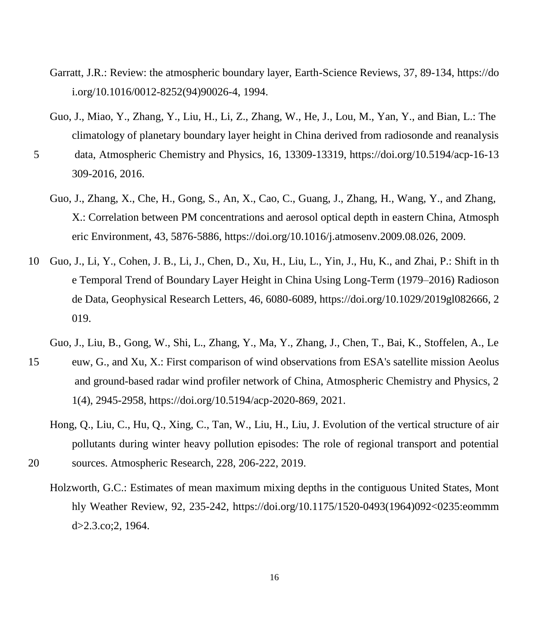- Garratt, J.R.: Review: the atmospheric boundary layer, Earth-Science Reviews, 37, 89-134, https://do i.org/10.1016/0012-8252(94)90026-4, 1994.
- Guo, J., Miao, Y., Zhang, Y., Liu, H., Li, Z., Zhang, W., He, J., Lou, M., Yan, Y., and Bian, L.: The climatology of planetary boundary layer height in China derived from radiosonde and reanalysis
- 5 data, Atmospheric Chemistry and Physics, 16, 13309-13319, https://doi.org/10.5194/acp-16-13 309-2016, 2016.
	- Guo, J., Zhang, X., Che, H., Gong, S., An, X., Cao, C., Guang, J., Zhang, H., Wang, Y., and Zhang, X.: Correlation between PM concentrations and aerosol optical depth in eastern China, Atmosph eric Environment, 43, 5876-5886, https://doi.org/10.1016/j.atmosenv.2009.08.026, 2009.
- 10 Guo, J., Li, Y., Cohen, J. B., Li, J., Chen, D., Xu, H., Liu, L., Yin, J., Hu, K., and Zhai, P.: Shift in th e Temporal Trend of Boundary Layer Height in China Using Long‐Term (1979–2016) Radioson de Data, Geophysical Research Letters, 46, 6080-6089, https://doi.org/10.1029/2019gl082666, 2 019.
	- Guo, J., Liu, B., Gong, W., Shi, L., Zhang, Y., Ma, Y., Zhang, J., Chen, T., Bai, K., Stoffelen, A., Le
- 15 euw, G., and Xu, X.: First comparison of wind observations from ESA's satellite mission Aeolus and ground-based radar wind profiler network of China, Atmospheric Chemistry and Physics, 2 1(4), 2945-2958, https://doi.org/10.5194/acp-2020-869, 2021.
- Hong, Q., Liu, C., Hu, Q., Xing, C., Tan, W., Liu, H., Liu, J. Evolution of the vertical structure of air pollutants during winter heavy pollution episodes: The role of regional transport and potential 20 sources. Atmospheric Research, 228, 206-222, 2019.
	- Holzworth, G.C.: Estimates of mean maximum mixing depths in the contiguous United States, Mont hly Weather Review, 92, 235-242, https://doi.org/10.1175/1520-0493(1964)092<0235:eommm d>2.3.co;2, 1964.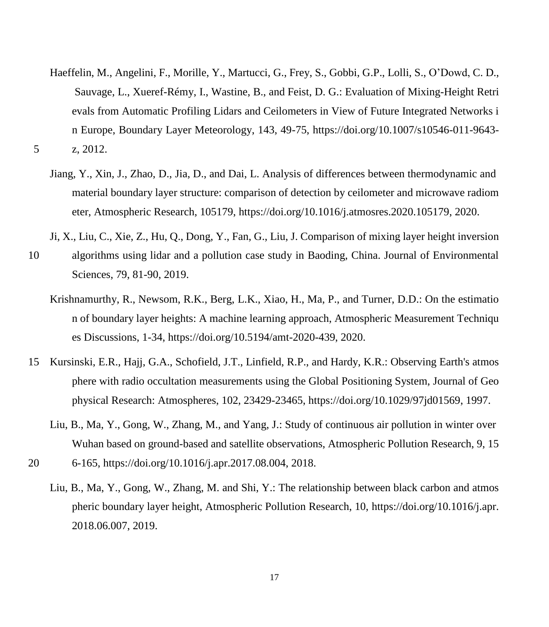- Haeffelin, M., Angelini, F., Morille, Y., Martucci, G., Frey, S., Gobbi, G.P., Lolli, S., O'Dowd, C. D., Sauvage, L., Xueref-Rémy, I., Wastine, B., and Feist, D. G.: Evaluation of Mixing-Height Retri evals from Automatic Profiling Lidars and Ceilometers in View of Future Integrated Networks i n Europe, Boundary Layer Meteorology, 143, 49-75, https://doi.org/10.1007/s10546-011-9643- 5 z, 2012.
	- Jiang, Y., Xin, J., Zhao, D., Jia, D., and Dai, L. Analysis of differences between thermodynamic and material boundary layer structure: comparison of detection by ceilometer and microwave radiom eter, Atmospheric Research, 105179, https://doi.org/10.1016/j.atmosres.2020.105179, 2020.
	- Ji, X., Liu, C., Xie, Z., Hu, Q., Dong, Y., Fan, G., Liu, J. Comparison of mixing layer height inversion
- 10 algorithms using lidar and a pollution case study in Baoding, China. Journal of Environmental Sciences, 79, 81-90, 2019.
	- Krishnamurthy, R., Newsom, R.K., Berg, L.K., Xiao, H., Ma, P., and Turner, D.D.: On the estimatio n of boundary layer heights: A machine learning approach, Atmospheric Measurement Techniqu es Discussions, 1-34, https://doi.org/10.5194/amt-2020-439, 2020.
- 15 Kursinski, E.R., Hajj, G.A., Schofield, J.T., Linfield, R.P., and Hardy, K.R.: Observing Earth's atmos phere with radio occultation measurements using the Global Positioning System, Journal of Geo physical Research: Atmospheres, 102, 23429-23465, https://doi.org/10.1029/97jd01569, 1997.
	- Liu, B., Ma, Y., Gong, W., Zhang, M., and Yang, J.: Study of continuous air pollution in winter over Wuhan based on ground-based and satellite observations, Atmospheric Pollution Research, 9, 15
- 20 6-165, https://doi.org/10.1016/j.apr.2017.08.004, 2018.
	- Liu, B., Ma, Y., Gong, W., Zhang, M. and Shi, Y.: The relationship between black carbon and atmos pheric boundary layer height, Atmospheric Pollution Research, 10, https://doi.org/10.1016/j.apr. 2018.06.007, 2019.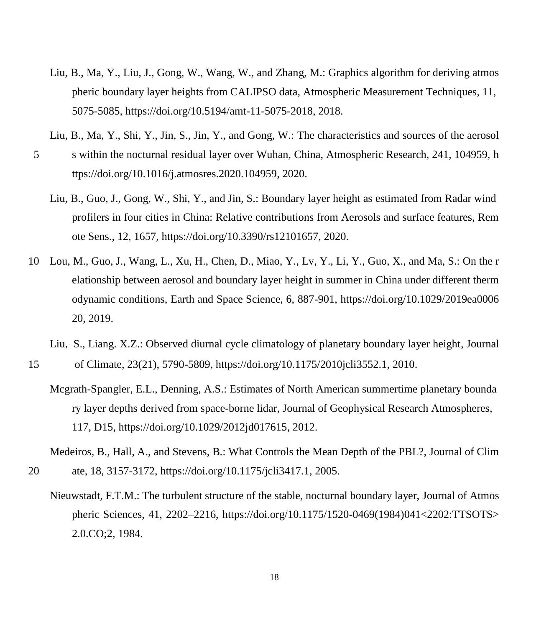- Liu, B., Ma, Y., Liu, J., Gong, W., Wang, W., and Zhang, M.: Graphics algorithm for deriving atmos pheric boundary layer heights from CALIPSO data, Atmospheric Measurement Techniques, 11, 5075-5085, https://doi.org/10.5194/amt-11-5075-2018, 2018.
- Liu, B., Ma, Y., Shi, Y., Jin, S., Jin, Y., and Gong, W.: The characteristics and sources of the aerosol
- 5 s within the nocturnal residual layer over Wuhan, China, Atmospheric Research, 241, 104959, h ttps://doi.org/10.1016/j.atmosres.2020.104959, 2020.
	- Liu, B., Guo, J., Gong, W., Shi, Y., and Jin, S.: Boundary layer height as estimated from Radar wind profilers in four cities in China: Relative contributions from Aerosols and surface features, Rem ote Sens., 12, 1657, https://doi.org/10.3390/rs12101657, 2020.
- 10 Lou, M., Guo, J., Wang, L., Xu, H., Chen, D., Miao, Y., Lv, Y., Li, Y., Guo, X., and Ma, S.: On the r elationship between aerosol and boundary layer height in summer in China under different therm odynamic conditions, Earth and Space Science, 6, 887-901, https://doi.org/10.1029/2019ea0006 20, 2019.
	- Liu, S., Liang. X.Z.: Observed diurnal cycle climatology of planetary boundary layer height, Journal
- 15 of Climate, 23(21), 5790-5809, https://doi.org/10.1175/2010jcli3552.1, 2010.
	- Mcgrath-Spangler, E.L., Denning, A.S.: Estimates of North American summertime planetary bounda ry layer depths derived from space-borne lidar, Journal of Geophysical Research Atmospheres, 117, D15, https://doi.org/10.1029/2012jd017615, 2012.
- Medeiros, B., Hall, A., and Stevens, B.: What Controls the Mean Depth of the PBL?, Journal of Clim 20 ate, 18, 3157-3172, https://doi.org/10.1175/jcli3417.1, 2005.
	- Nieuwstadt, F.T.M.: The turbulent structure of the stable, nocturnal boundary layer, Journal of Atmos pheric Sciences, 41, 2202–2216, https://doi.org/10.1175/1520-0469(1984)041<2202:TTSOTS> 2.0.CO;2, 1984.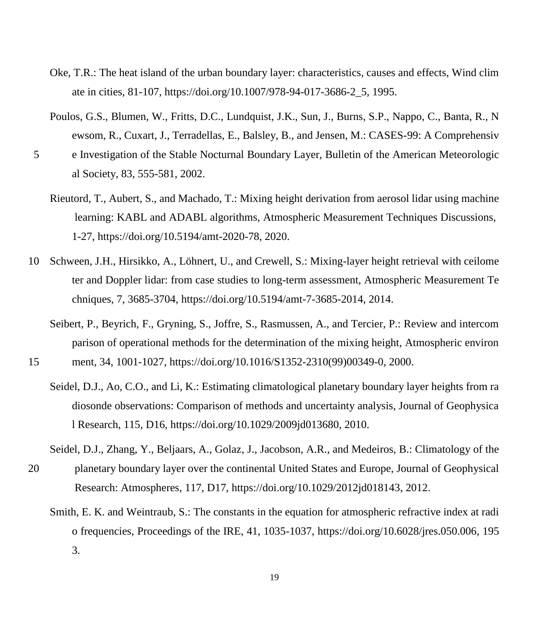- Oke, T.R.: The heat island of the urban boundary layer: characteristics, causes and effects, Wind clim ate in cities, 81-107, https://doi.org/10.1007/978-94-017-3686-2\_5, 1995.
- Poulos, G.S., Blumen, W., Fritts, D.C., Lundquist, J.K., Sun, J., Burns, S.P., Nappo, C., Banta, R., N ewsom, R., Cuxart, J., Terradellas, E., Balsley, B., and Jensen, M.: CASES-99: A Comprehensiv
- 5 e Investigation of the Stable Nocturnal Boundary Layer, Bulletin of the American Meteorologic al Society, 83, 555-581, 2002.
	- Rieutord, T., Aubert, S., and Machado, T.: Mixing height derivation from aerosol lidar using machine learning: KABL and ADABL algorithms, Atmospheric Measurement Techniques Discussions, 1-27, https://doi.org/10.5194/amt-2020-78, 2020.
- 10 Schween, J.H., Hirsikko, A., Löhnert, U., and Crewell, S.: Mixing-layer height retrieval with ceilome ter and Doppler lidar: from case studies to long-term assessment, Atmospheric Measurement Te chniques, 7, 3685-3704, https://doi.org/10.5194/amt-7-3685-2014, 2014.
	- Seibert, P., Beyrich, F., Gryning, S., Joffre, S., Rasmussen, A., and Tercier, P.: Review and intercom parison of operational methods for the determination of the mixing height, Atmospheric environ
- 15 ment, 34, 1001-1027, https://doi.org/10.1016/S1352-2310(99)00349-0, 2000.
	- Seidel, D.J., Ao, C.O., and Li, K.: Estimating climatological planetary boundary layer heights from ra diosonde observations: Comparison of methods and uncertainty analysis, Journal of Geophysica l Research, 115, D16, https://doi.org/10.1029/2009jd013680, 2010.
- Seidel, D.J., Zhang, Y., Beljaars, A., Golaz, J., Jacobson, A.R., and Medeiros, B.: Climatology of the 20 planetary boundary layer over the continental United States and Europe, Journal of Geophysical

Research: Atmospheres, 117, D17, https://doi.org/10.1029/2012jd018143, 2012.

Smith, E. K. and Weintraub, S.: The constants in the equation for atmospheric refractive index at radi o frequencies, Proceedings of the IRE, 41, 1035-1037, https://doi.org/10.6028/jres.050.006, 195 3.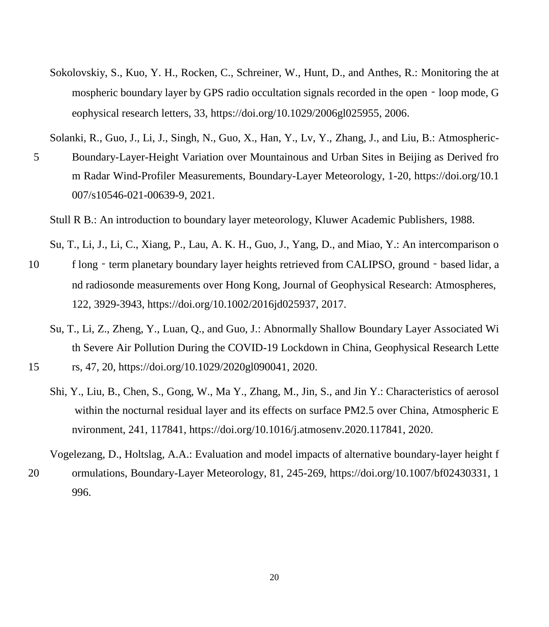Sokolovskiy, S., Kuo, Y. H., Rocken, C., Schreiner, W., Hunt, D., and Anthes, R.: Monitoring the at mospheric boundary layer by GPS radio occultation signals recorded in the open - loop mode, G eophysical research letters, 33, https://doi.org/10.1029/2006gl025955, 2006.

Solanki, R., Guo, J., Li, J., Singh, N., Guo, X., Han, Y., Lv, Y., Zhang, J., and Liu, B.: Atmospheric-

5 Boundary-Layer-Height Variation over Mountainous and Urban Sites in Beijing as Derived fro m Radar Wind-Profiler Measurements, Boundary-Layer Meteorology, 1-20, https://doi.org/10.1 007/s10546-021-00639-9, 2021.

Stull R B.: An introduction to boundary layer meteorology, Kluwer Academic Publishers, 1988.

Su, T., Li, J., Li, C., Xiang, P., Lau, A. K. H., Guo, J., Yang, D., and Miao, Y.: An intercomparison o

- 10 f long term planetary boundary layer heights retrieved from CALIPSO, ground based lidar, a nd radiosonde measurements over Hong Kong, Journal of Geophysical Research: Atmospheres, 122, 3929-3943, https://doi.org/10.1002/2016jd025937, 2017.
	- Su, T., Li, Z., Zheng, Y., Luan, Q., and Guo, J.: Abnormally Shallow Boundary Layer Associated Wi th Severe Air Pollution During the COVID‐19 Lockdown in China, Geophysical Research Lette
- 15 rs, 47, 20, https://doi.org/10.1029/2020gl090041, 2020.
	- Shi, Y., Liu, B., Chen, S., Gong, W., Ma Y., Zhang, M., Jin, S., and Jin Y.: Characteristics of aerosol within the nocturnal residual layer and its effects on surface PM2.5 over China, Atmospheric E nvironment, 241, 117841, https://doi.org/10.1016/j.atmosenv.2020.117841, 2020.

Vogelezang, D., Holtslag, A.A.: Evaluation and model impacts of alternative boundary-layer height f

20 ormulations, Boundary-Layer Meteorology, 81, 245-269, https://doi.org/10.1007/bf02430331, 1 996.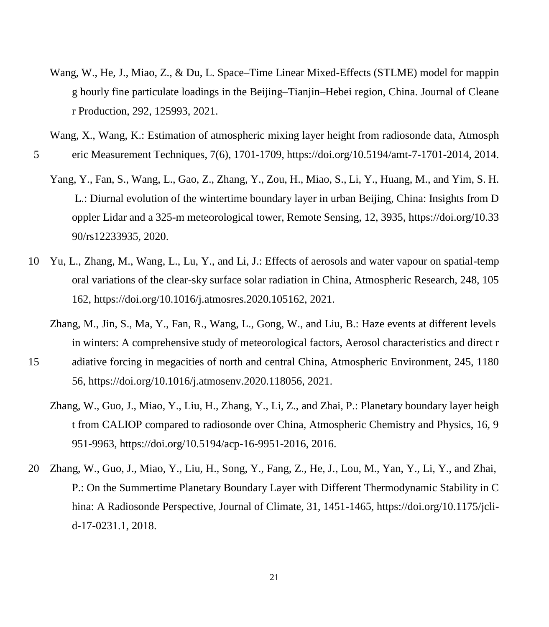Wang, W., He, J., Miao, Z., & Du, L. Space–Time Linear Mixed-Effects (STLME) model for mappin g hourly fine particulate loadings in the Beijing–Tianjin–Hebei region, China. Journal of Cleane r Production, 292, 125993, 2021.

Wang, X., Wang, K.: Estimation of atmospheric mixing layer height from radiosonde data, Atmosph

- 5 eric Measurement Techniques, 7(6), 1701-1709, https://doi.org/10.5194/amt-7-1701-2014, 2014.
	- Yang, Y., Fan, S., Wang, L., Gao, Z., Zhang, Y., Zou, H., Miao, S., Li, Y., Huang, M., and Yim, S. H. L.: Diurnal evolution of the wintertime boundary layer in urban Beijing, China: Insights from D oppler Lidar and a 325-m meteorological tower, Remote Sensing, 12, 3935, https://doi.org/10.33 90/rs12233935, 2020.
- 10 Yu, L., Zhang, M., Wang, L., Lu, Y., and Li, J.: Effects of aerosols and water vapour on spatial-temp oral variations of the clear-sky surface solar radiation in China, Atmospheric Research, 248, 105 162, https://doi.org/10.1016/j.atmosres.2020.105162, 2021.
	- Zhang, M., Jin, S., Ma, Y., Fan, R., Wang, L., Gong, W., and Liu, B.: Haze events at different levels in winters: A comprehensive study of meteorological factors, Aerosol characteristics and direct r
- 15 adiative forcing in megacities of north and central China, Atmospheric Environment, 245, 1180 56, https://doi.org/10.1016/j.atmosenv.2020.118056, 2021.
	- Zhang, W., Guo, J., Miao, Y., Liu, H., Zhang, Y., Li, Z., and Zhai, P.: Planetary boundary layer heigh t from CALIOP compared to radiosonde over China, Atmospheric Chemistry and Physics, 16, 9 951-9963, https://doi.org/10.5194/acp-16-9951-2016, 2016.
- 20 Zhang, W., Guo, J., Miao, Y., Liu, H., Song, Y., Fang, Z., He, J., Lou, M., Yan, Y., Li, Y., and Zhai, P.: On the Summertime Planetary Boundary Layer with Different Thermodynamic Stability in C hina: A Radiosonde Perspective, Journal of Climate, 31, 1451-1465, https://doi.org/10.1175/jclid-17-0231.1, 2018.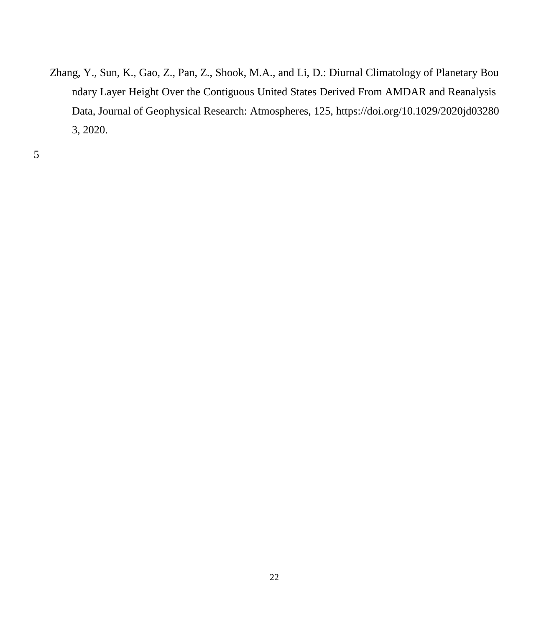Zhang, Y., Sun, K., Gao, Z., Pan, Z., Shook, M.A., and Li, D.: Diurnal Climatology of Planetary Bou ndary Layer Height Over the Contiguous United States Derived From AMDAR and Reanalysis Data, Journal of Geophysical Research: Atmospheres, 125, https://doi.org/10.1029/2020jd03280 3, 2020.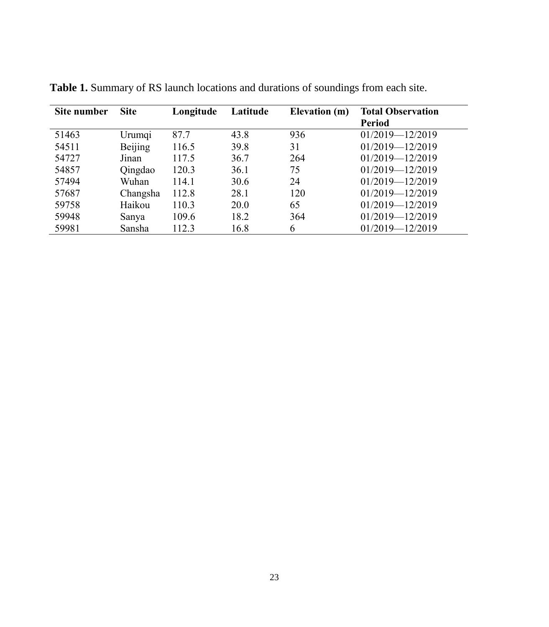| Site number | <b>Site</b> | Longitude | Latitude | Elevation (m) | <b>Total Observation</b><br><b>Period</b> |
|-------------|-------------|-----------|----------|---------------|-------------------------------------------|
| 51463       | Urumqi      | 87.7      | 43.8     | 936           | $01/2019 - 12/2019$                       |
| 54511       | Beijing     | 116.5     | 39.8     | 31            | $01/2019 - 12/2019$                       |
| 54727       | Jinan       | 117.5     | 36.7     | 264           | $01/2019 - 12/2019$                       |
| 54857       | Qingdao     | 120.3     | 36.1     | 75            | $01/2019 - 12/2019$                       |
| 57494       | Wuhan       | 114.1     | 30.6     | 24            | $01/2019 - 12/2019$                       |
| 57687       | Changsha    | 112.8     | 28.1     | 120           | $01/2019 - 12/2019$                       |
| 59758       | Haikou      | 110.3     | 20.0     | 65            | $01/2019 - 12/2019$                       |
| 59948       | Sanya       | 109.6     | 18.2     | 364           | $01/2019 - 12/2019$                       |
| 59981       | Sansha      | 112.3     | 16.8     | 6             | 01/2019-12/2019                           |

**Table 1.** Summary of RS launch locations and durations of soundings from each site.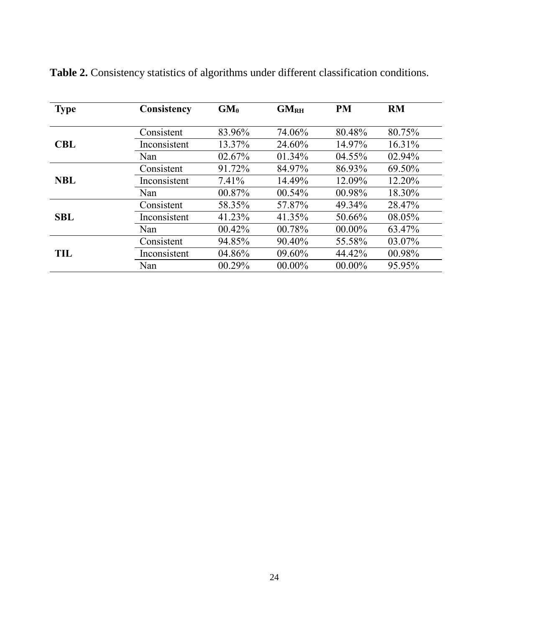| <b>Type</b> | Consistency  | $GM_{\theta}$ | GM <sub>RH</sub> | PM        | RM     |
|-------------|--------------|---------------|------------------|-----------|--------|
|             |              |               |                  |           |        |
|             | Consistent   | 83.96%        | 74.06%           | 80.48%    | 80.75% |
| <b>CBL</b>  | Inconsistent | 13.37%        | 24.60%           | 14.97%    | 16.31% |
|             | Nan          | 02.67%        | 01.34%           | 04.55%    | 02.94% |
|             | Consistent   | 91.72%        | 84.97%           | 86.93%    | 69.50% |
| <b>NBL</b>  | Inconsistent | 7.41%         | 14.49%           | 12.09%    | 12.20% |
|             | Nan          | 00.87%        | 00.54%           | 00.98%    | 18.30% |
|             | Consistent   | 58.35%        | 57.87%           | 49.34%    | 28.47% |
| <b>SBL</b>  | Inconsistent | 41.23%        | 41.35%           | 50.66%    | 08.05% |
|             | Nan          | 00.42%        | 00.78%           | $00.00\%$ | 63.47% |
|             | Consistent   | 94.85%        | 90.40%           | 55.58%    | 03.07% |
| TH.         | Inconsistent | 04.86%        | 09.60%           | 44.42%    | 00.98% |
|             | Nan          | 00.29%        | $00.00\%$        | $00.00\%$ | 95.95% |

**Table 2.** Consistency statistics of algorithms under different classification conditions.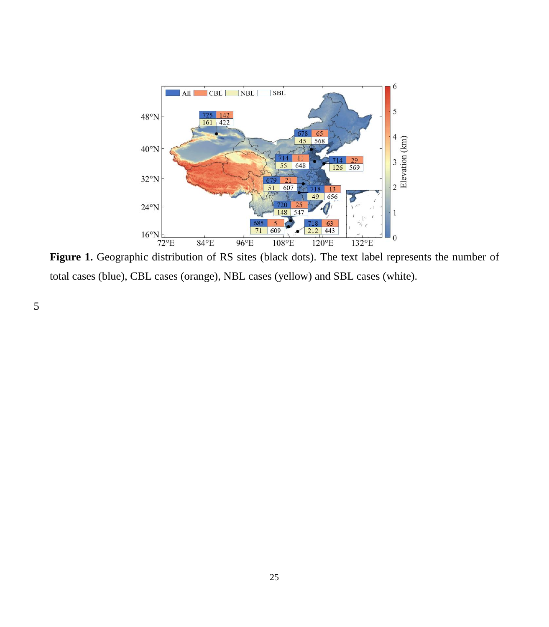

total cases (blue), CBL cases (orange), NBL cases (yellow) and SBL cases (white).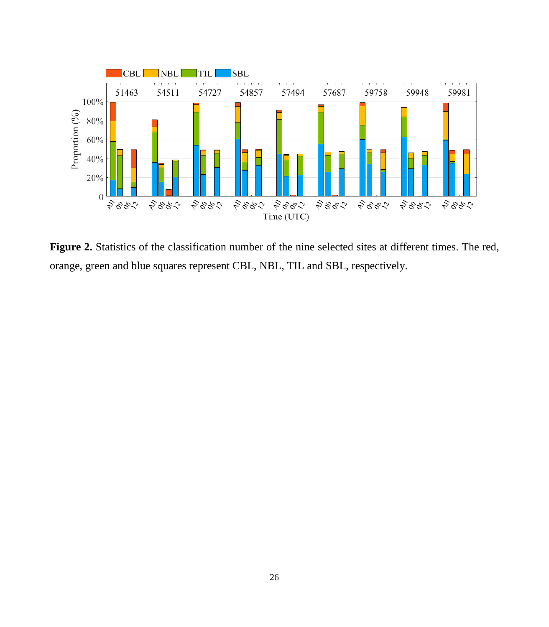

**Figure 2.** Statistics of the classification number of the nine selected sites at different times. The red, orange, green and blue squares represent CBL, NBL, TIL and SBL, respectively.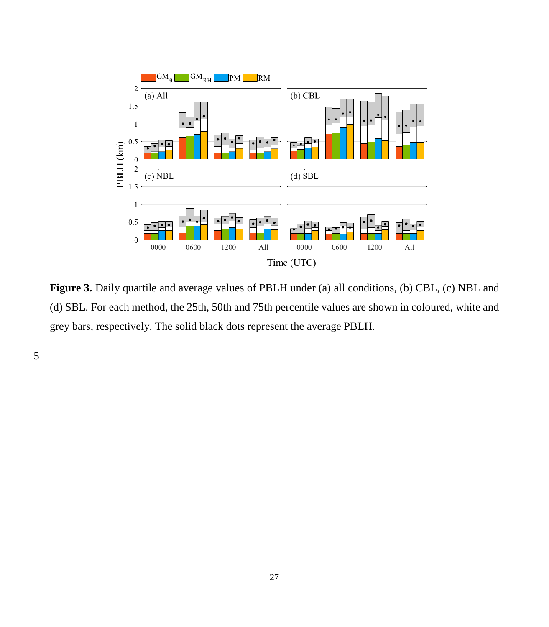

Figure 3. Daily quartile and average values of PBLH under (a) all conditions, (b) CBL, (c) NBL and (d) SBL. For each method, the 25th, 50th and 75th percentile values are shown in coloured, white and grey bars, respectively. The solid black dots represent the average PBLH.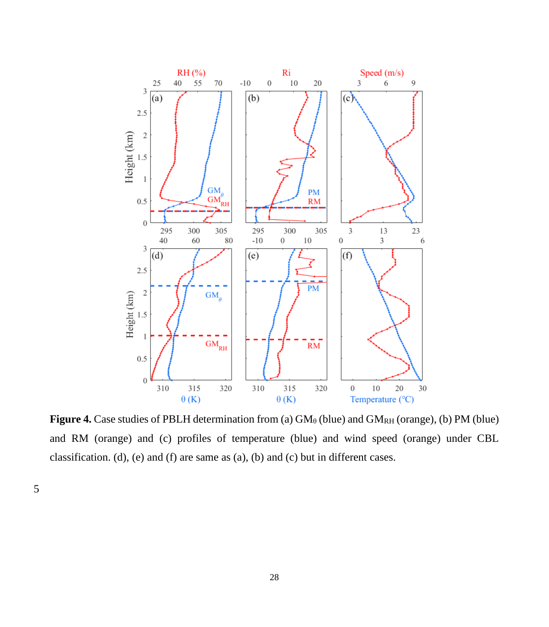

**Figure 4.** Case studies of PBLH determination from (a)  $GM_\theta$  (blue) and  $GM_{RH}$  (orange), (b) PM (blue) and RM (orange) and (c) profiles of temperature (blue) and wind speed (orange) under CBL classification. (d), (e) and (f) are same as (a), (b) and (c) but in different cases.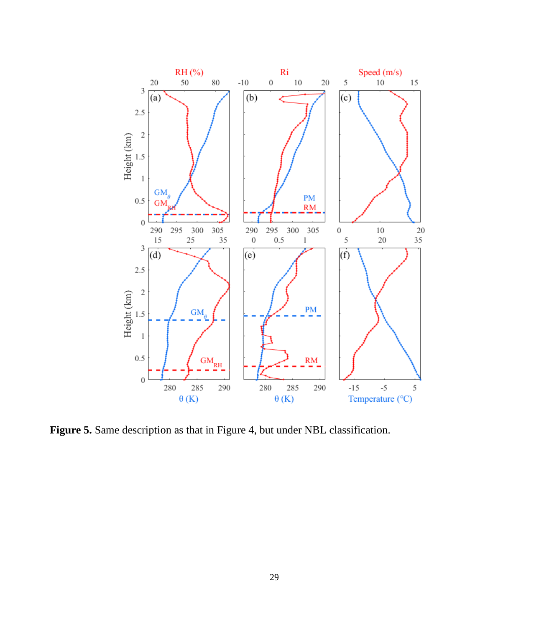

Figure 5. Same description as that in Figure 4, but under NBL classification.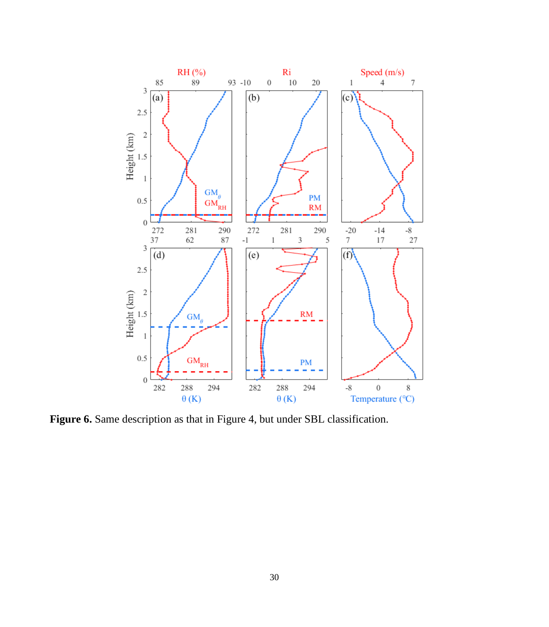

Figure 6. Same description as that in Figure 4, but under SBL classification.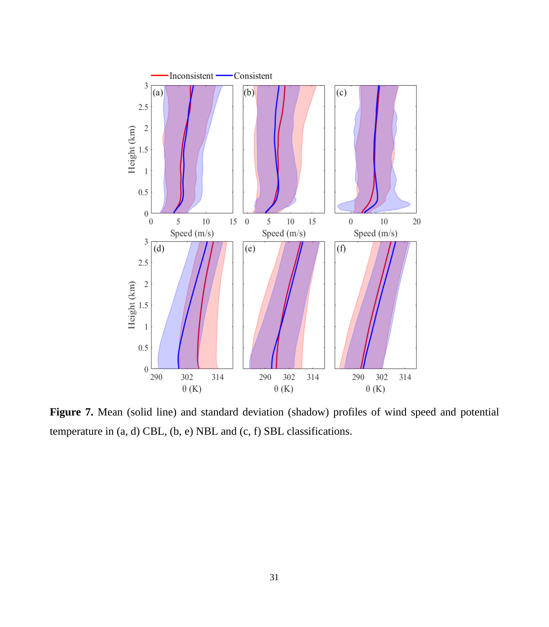

Figure 7. Mean (solid line) and standard deviation (shadow) profiles of wind speed and potential temperature in (a, d) CBL, (b, e) NBL and (c, f) SBL classifications.